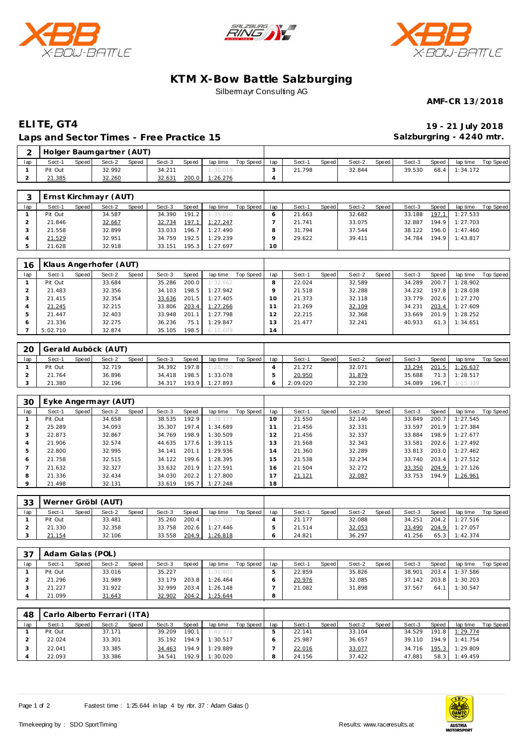





## **KTM X-Bow Battle Salzburging** Silbermayr Consulting AG

**AMF-CR 13/2018**

## **ELITE, GT4 19 - 21 July 2018 Laps and Sector Times - Free Practice 15**

**Salzburgring - 4240 mtr.**

|     | Holger Baumgartner (AUT) |       |        |       |        |              |          |           |     |        |       |        |       |        |       |          |           |
|-----|--------------------------|-------|--------|-------|--------|--------------|----------|-----------|-----|--------|-------|--------|-------|--------|-------|----------|-----------|
| lap | Sect-1                   | Speed | Sect-2 | Speed | Sect-3 | <b>Speed</b> | lap time | Top Speed | lap | Sect-1 | Speed | Sect-2 | Speed | Sect-3 | Speed | lap time | Top Speed |
|     | Pit Out                  |       | 32.992 |       | 34.211 |              | 1:30.019 |           |     | 21.798 |       | 32.844 |       | 39.530 | 68.4  | 1:34.172 |           |
|     | 21.385                   |       | 32.260 |       | 32.631 | 200.0        | 1:26.276 |           |     |        |       |        |       |        |       |          |           |

|     | Ernst Kirchmayr (AUT) |       |        |       |        |       |          |           |     |        |       |        |       |        |       |                  |           |
|-----|-----------------------|-------|--------|-------|--------|-------|----------|-----------|-----|--------|-------|--------|-------|--------|-------|------------------|-----------|
| lap | Sect-1                | Speed | Sect-2 | Speed | Sect-3 | Speed | lap time | Top Speed | lap | Sect-1 | Speed | Sect-2 | Speed | Sect-3 | Speed | lap time         | Top Speed |
|     | Pit Out               |       | 34.587 |       | 34.390 | 191.2 | 1:35.010 |           |     | 21.663 |       | 32.682 |       | 33.188 |       | $197.1$ 1:27.533 |           |
|     | 21.846                |       | 32.667 |       | 32.734 | 197.1 | 1:27.247 |           |     | 21.741 |       | 33.075 |       | 32.887 |       | 194.9 1:27.703   |           |
|     | 21.558                |       | 32.899 |       | 33.033 | 196.7 | 1:27.490 |           |     | 31.794 |       | 37.544 |       | 38.122 |       | 196.0 1:47.460   |           |
|     | 21.529                |       | 32.951 |       | 34.759 | 192.5 | 1:29.239 |           |     | 29.622 |       | 39.411 |       | 34.784 |       | 194.9 1:43.817   |           |
|     | 21.628                |       | 32.918 |       | 33.151 | 195.3 | 1:27.697 |           | 10  |        |       |        |       |        |       |                  |           |

| 16  |          |       | Klaus Angerhofer (AUT) |       |        |       |          |           |          |        |       |        |       |        |       |          |           |
|-----|----------|-------|------------------------|-------|--------|-------|----------|-----------|----------|--------|-------|--------|-------|--------|-------|----------|-----------|
| lap | Sect-1   | Speed | Sect-2                 | Speed | Sect-3 | Speed | lap time | Top Speed | lap      | Sect-1 | Speed | Sect-2 | Speed | Sect-3 | Speed | lap time | Top Speed |
|     | Pit Out  |       | 33.684                 |       | 35.286 | 200.0 | 1:32.662 |           |          | 22.024 |       | 32.589 |       | 34.289 | 200.7 | 1:28.902 |           |
|     | 21.483   |       | 32.356                 |       | 34.103 | 198.5 | 1:27.942 |           |          | 21.518 |       | 32.288 |       | 34.232 | 197.8 | 1:28.038 |           |
|     | 21.415   |       | 32.354                 |       | 33.636 | 201.5 | 1:27.405 |           | $\Omega$ | 21.373 |       | 32.118 |       | 33.779 | 202.6 | 1:27.270 |           |
|     | 21.245   |       | 32.215                 |       | 33.806 | 203.4 | 1:27.266 |           |          | 21.269 |       | 32.109 |       | 34.231 | 203.4 | 1:27.609 |           |
|     | 21.447   |       | 32.403                 |       | 33.948 | 201.1 | 1:27.798 |           |          | 22.215 |       | 32.368 |       | 33.669 | 201.9 | 1:28.252 |           |
|     | 21.336   |       | 32.275                 |       | 36.236 | 75.1  | 1:29.847 |           | 13       | 21.477 |       | 32.241 |       | 40.933 | 61.3  | 1:34.651 |           |
|     | 5:02.710 |       | 32.874                 |       | 35.105 | 198.5 | 6:10.689 |           | 14       |        |       |        |       |        |       |          |           |

| 20  |         |       | Gerald Auböck (AUT) |              |        |       |          |           |     |          |       |        |       |        |       |          |           |
|-----|---------|-------|---------------------|--------------|--------|-------|----------|-----------|-----|----------|-------|--------|-------|--------|-------|----------|-----------|
| lap | Sect-1  | Speed | Sect-2              | <b>Speed</b> | Sect-3 | Speed | lap time | Top Speed | lap | Sect-1   | Speed | Sect-2 | Speed | Sect-3 | Speed | lap time | Top Speed |
|     | Pit Out |       | 32.719              |              | 34.392 | 197.8 | 1:28.750 |           |     | 21.272   |       | 32.071 |       | 33.294 | 201.5 | 1:26.637 |           |
|     | 21.764  |       | 36.896              |              | 34.418 | 198.5 | 1:33.078 |           |     | 20.950   |       | 31.879 |       | 35.688 | 71.3  | 1:28.517 |           |
|     | 21.380  |       | 32.196              |              | 34.317 | 193.9 | 1:27.893 |           |     | 2:09.020 |       | 32.230 |       | 34.089 | 196.7 | 3:15.339 |           |

| 30      |         |       | Eyke Angermayr (AUT) |       |        |       |          |           |     |        |       |        |       |        |       |          |           |
|---------|---------|-------|----------------------|-------|--------|-------|----------|-----------|-----|--------|-------|--------|-------|--------|-------|----------|-----------|
| lap     | Sect-1  | Speed | Sect-2               | Speed | Sect-3 | Speed | lap time | Top Speed | lap | Sect-1 | Speed | Sect-2 | Speed | Sect-3 | Speed | lap time | Top Speed |
|         | Pit Out |       | 34.658               |       | 38.535 | 192.9 | 1:38.177 |           | 10  | 21.550 |       | 32.146 |       | 33.849 | 200.7 | 1:27.545 |           |
|         | 25.289  |       | 34.093               |       | 35.307 | 197.4 | 1:34.689 |           |     | 21.456 |       | 32.331 |       | 33.597 | 201.9 | 1:27.384 |           |
|         | 22.873  |       | 32.867               |       | 34.769 | 198.9 | 1:30.509 |           | 2   | 21.456 |       | 32.337 |       | 33.884 | 198.9 | 1:27.677 |           |
|         | 21.906  |       | 32.574               |       | 44.635 | 177.6 | 1:39.115 |           | l 3 | 21.568 |       | 32.343 |       | 33.581 | 202.6 | 1:27.492 |           |
| ь       | 22.800  |       | 32.995               |       | 34.141 | 201.1 | 1:29.936 |           | 14  | 21.360 |       | 32.289 |       | 33.813 | 203.0 | 1:27.462 |           |
| 6       | 21.758  |       | 32.515               |       | 34.122 | 199.6 | 1:28.395 |           | - 5 | 21.538 |       | 32.234 |       | 33.740 | 203.4 | 1:27.512 |           |
|         | 21.632  |       | 32.327               |       | 33.632 | 201.9 | 1:27.591 |           | 16  | 21.504 |       | 32.272 |       | 33.350 | 204.9 | 1:27.126 |           |
| 8       | 21.336  |       | 32.434               |       | 34.030 | 202.2 | 1:27.800 |           |     | 21.121 |       | 32.087 |       | 33.753 | 194.9 | 1:26.961 |           |
| $\circ$ | 21.498  |       | 32.131               |       | 33.619 | 195.7 | 1:27.248 |           | 18  |        |       |        |       |        |       |          |           |

| 33  |         |       | Werner Gröbl (AUT) |       |        |       |          |           |     |        |       |        |       |        |       |          |           |
|-----|---------|-------|--------------------|-------|--------|-------|----------|-----------|-----|--------|-------|--------|-------|--------|-------|----------|-----------|
| lap | Sect-1  | Speed | Sect-2             | Speed | Sect-3 | Speed | lap time | Top Speed | lap | Sect-1 | Speed | Sect-2 | Speed | Sect-3 | Speed | lap time | Top Speed |
|     | Pit Out |       | 33.481             |       | 35.260 | 200.4 | 1:32.702 |           |     | 21.177 |       | 32.088 |       | 34.251 | 204.2 | 1:27.516 |           |
|     | 21.330  |       | 32.358             |       | 33.758 | 202.6 | 1:27.446 |           |     | 21.514 |       | 32.053 |       | 33.490 | 204.9 | 1:27.057 |           |
|     | 21.154  |       | 32.106             |       | 33.558 | 204.9 | 1:26.818 |           |     | 24.821 |       | 36.297 |       | 41.256 | 65.3  | 1:42.374 |           |

| 37  | Adam Galas (POL) |       |        |       |        |       |          |           |     |        |       |        |       |        |       |          |           |
|-----|------------------|-------|--------|-------|--------|-------|----------|-----------|-----|--------|-------|--------|-------|--------|-------|----------|-----------|
| lap | Sect-1           | Speed | Sect-2 | Speed | Sect-3 | Speed | lap time | Top Speed | lap | Sect-1 | Speed | Sect-2 | Speed | Sect-3 | Speed | lap time | Top Speed |
|     | Pit Out          |       | 33.016 |       | 35.227 |       | 1:31.800 |           |     | 22.859 |       | 35.826 |       | 38.901 | 203.4 | 1:37.586 |           |
|     | 21.296           |       | 31.989 |       | 33.179 | 203.8 | 1:26.464 |           |     | 20.976 |       | 32.085 |       | 37.142 | 203.8 | 1:30.203 |           |
|     | 21.227           |       | 31.922 |       | 32.999 | 203.4 | 1:26.148 |           |     | 21.082 |       | 31.898 |       | 37.567 | 64    | 1:30.547 |           |
|     | 21.099           |       | 31.643 |       | 32.902 | 204.2 | 1:25.644 |           | 8   |        |       |        |       |        |       |          |           |

| 48  |         |       | Carlo Alberto Ferrari (ITA) |              |        |       |          |           |     |        |       |        |       |        |       |                |           |
|-----|---------|-------|-----------------------------|--------------|--------|-------|----------|-----------|-----|--------|-------|--------|-------|--------|-------|----------------|-----------|
| lap | Sect-1  | Speed | Sect-2                      | <b>Speed</b> | Sect-3 | Speed | lap time | Top Speed | lap | Sect-1 | Speed | Sect-2 | Speed | Sect-3 | Speed | lap time       | Top Speed |
|     | Pit Out |       | 37.171                      |              | 39.209 | 190.1 | 1:42.371 |           |     | 22.141 |       | 33.104 |       | 34.529 |       | 191.8 1:29.774 |           |
|     | 22.024  |       | 33.301                      |              | 35.192 | 194.9 | 1:30.517 |           |     | 25.987 |       | 36.657 |       | 39.110 |       | 194.9 1:41.754 |           |
|     | 22.041  |       | 33.385                      |              | 34.463 | 194.9 | 1:29.889 |           |     | 22.016 |       | 33.077 |       | 34.716 | 195.3 | 1:29.809       |           |
|     | 22.093  |       | 33.386                      |              | 34.541 | 192.9 | 1:30.020 |           |     | 24.156 |       | 37.422 |       | 47.881 | 58.3  | 1:49.459       |           |